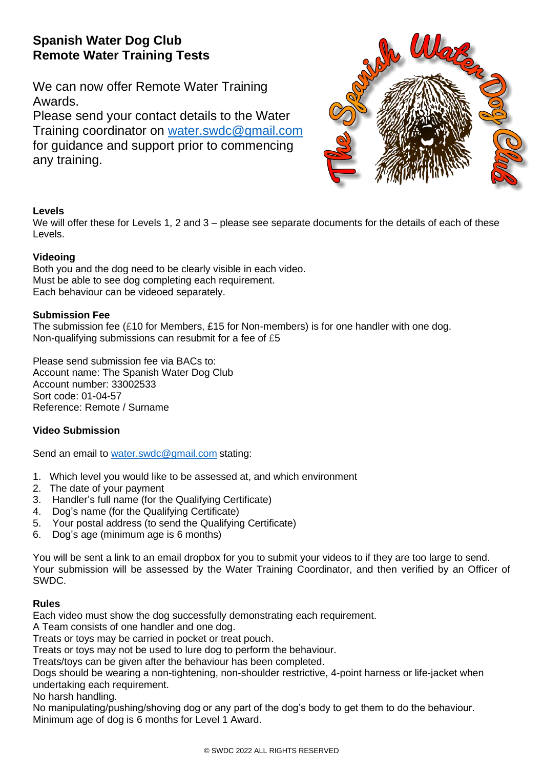# **Spanish Water Dog Club Remote Water Training Tests**

We can now offer Remote Water Training Awards.

Please send your contact details to the Water Training coordinator on [water.swdc@gmail.com](mailto:water.swdc@gmail.com) for guidance and support prior to commencing any training.



# **Levels**

We will offer these for Levels 1, 2 and 3 – please see separate documents for the details of each of these Levels.

# **Videoing**

Both you and the dog need to be clearly visible in each video. Must be able to see dog completing each requirement. Each behaviour can be videoed separately.

# **Submission Fee**

The submission fee (£10 for Members, £15 for Non-members) is for one handler with one dog. Non-qualifying submissions can resubmit for a fee of £5

Please send submission fee via BACs to: Account name: The Spanish Water Dog Club Account number: 33002533 Sort code: 01-04-57 Reference: Remote / Surname

# **Video Submission**

Send an email to [water.swdc@gmail.com](mailto:water.swdc@gmail.com) stating:

- 1. Which level you would like to be assessed at, and which environment
- 2. The date of your payment
- 3. Handler's full name (for the Qualifying Certificate)
- 4. Dog's name (for the Qualifying Certificate)
- 5. Your postal address (to send the Qualifying Certificate)
- 6. Dog's age (minimum age is 6 months)

You will be sent a link to an email dropbox for you to submit your videos to if they are too large to send. Your submission will be assessed by the Water Training Coordinator, and then verified by an Officer of SWDC.

## **Rules**

Each video must show the dog successfully demonstrating each requirement.

A Team consists of one handler and one dog.

Treats or toys may be carried in pocket or treat pouch.

Treats or toys may not be used to lure dog to perform the behaviour.

Treats/toys can be given after the behaviour has been completed.

Dogs should be wearing a non-tightening, non-shoulder restrictive, 4-point harness or life-jacket when undertaking each requirement.

No harsh handling.

No manipulating/pushing/shoving dog or any part of the dog's body to get them to do the behaviour. Minimum age of dog is 6 months for Level 1 Award.